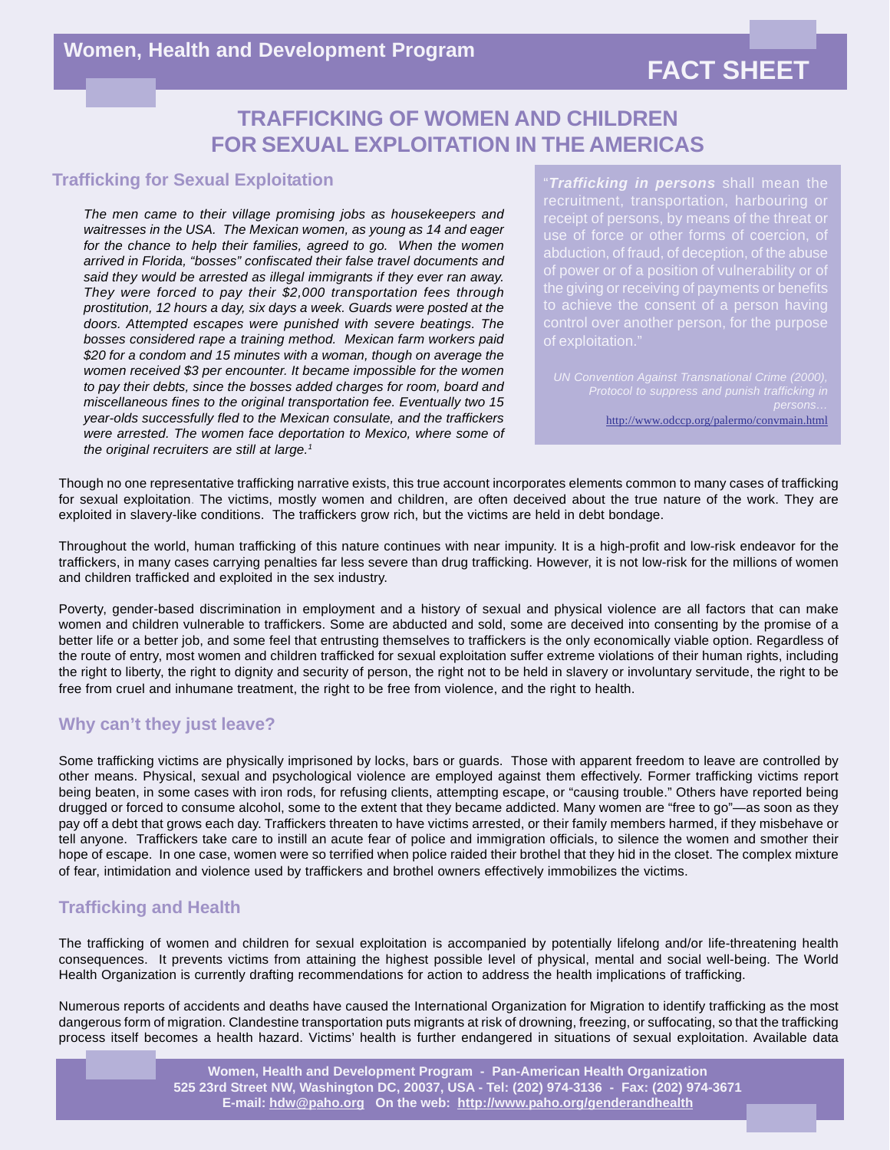## **FACT SHEET**

## **TRAFFICKING OF WOMEN AND CHILDREN FOR SEXUAL EXPLOITATION IN THE AMERICAS**

#### **Trafficking for Sexual Exploitation**

*The men came to their village promising jobs as housekeepers and waitresses in the USA. The Mexican women, as young as 14 and eager for the chance to help their families, agreed to go. When the women arrived in Florida, "bosses" confiscated their false travel documents and said they would be arrested as illegal immigrants if they ever ran away. They were forced to pay their \$2,000 transportation fees through prostitution, 12 hours a day, six days a week. Guards were posted at the doors. Attempted escapes were punished with severe beatings. The bosses considered rape a training method. Mexican farm workers paid \$20 for a condom and 15 minutes with a woman, though on average the women received \$3 per encounter. It became impossible for the women to pay their debts, since the bosses added charges for room, board and miscellaneous fines to the original transportation fee. Eventually two 15 year-olds successfully fled to the Mexican consulate, and the traffickers were arrested. The women face deportation to Mexico, where some of the original recruiters are still at large.1*

"*Trafficking in persons* shall mean the receipt of persons, by means of the threat or of exploitation."

http://www.odccp.org/palermo/convmain.html

Though no one representative trafficking narrative exists, this true account incorporates elements common to many cases of trafficking for sexual exploitation. The victims, mostly women and children, are often deceived about the true nature of the work. They are exploited in slavery-like conditions. The traffickers grow rich, but the victims are held in debt bondage.

Throughout the world, human trafficking of this nature continues with near impunity. It is a high-profit and low-risk endeavor for the traffickers, in many cases carrying penalties far less severe than drug trafficking. However, it is not low-risk for the millions of women and children trafficked and exploited in the sex industry.

Poverty, gender-based discrimination in employment and a history of sexual and physical violence are all factors that can make women and children vulnerable to traffickers. Some are abducted and sold, some are deceived into consenting by the promise of a better life or a better job, and some feel that entrusting themselves to traffickers is the only economically viable option. Regardless of the route of entry, most women and children trafficked for sexual exploitation suffer extreme violations of their human rights, including the right to liberty, the right to dignity and security of person, the right not to be held in slavery or involuntary servitude, the right to be free from cruel and inhumane treatment, the right to be free from violence, and the right to health.

### **Why can't they just leave?**

Some trafficking victims are physically imprisoned by locks, bars or guards. Those with apparent freedom to leave are controlled by other means. Physical, sexual and psychological violence are employed against them effectively. Former trafficking victims report being beaten, in some cases with iron rods, for refusing clients, attempting escape, or "causing trouble." Others have reported being drugged or forced to consume alcohol, some to the extent that they became addicted. Many women are "free to go"—as soon as they pay off a debt that grows each day. Traffickers threaten to have victims arrested, or their family members harmed, if they misbehave or tell anyone. Traffickers take care to instill an acute fear of police and immigration officials, to silence the women and smother their hope of escape. In one case, women were so terrified when police raided their brothel that they hid in the closet. The complex mixture of fear, intimidation and violence used by traffickers and brothel owners effectively immobilizes the victims.

### **Trafficking and Health**

The trafficking of women and children for sexual exploitation is accompanied by potentially lifelong and/or life-threatening health consequences. It prevents victims from attaining the highest possible level of physical, mental and social well-being. The World Health Organization is currently drafting recommendations for action to address the health implications of trafficking.

Numerous reports of accidents and deaths have caused the International Organization for Migration to identify trafficking as the most dangerous form of migration. Clandestine transportation puts migrants at risk of drowning, freezing, or suffocating, so that the trafficking process itself becomes a health hazard. Victims' health is further endangered in situations of sexual exploitation. Available data

> **Women, Health and Development Program - Pan-American Health Organization 525 23rd Street NW, Washington DC, 20037, USA - Tel: (202) 974-3136 - Fax: (202) 974-3671 E-mail: hdw@paho.org On the web: http://www.paho.org/genderandhealth**